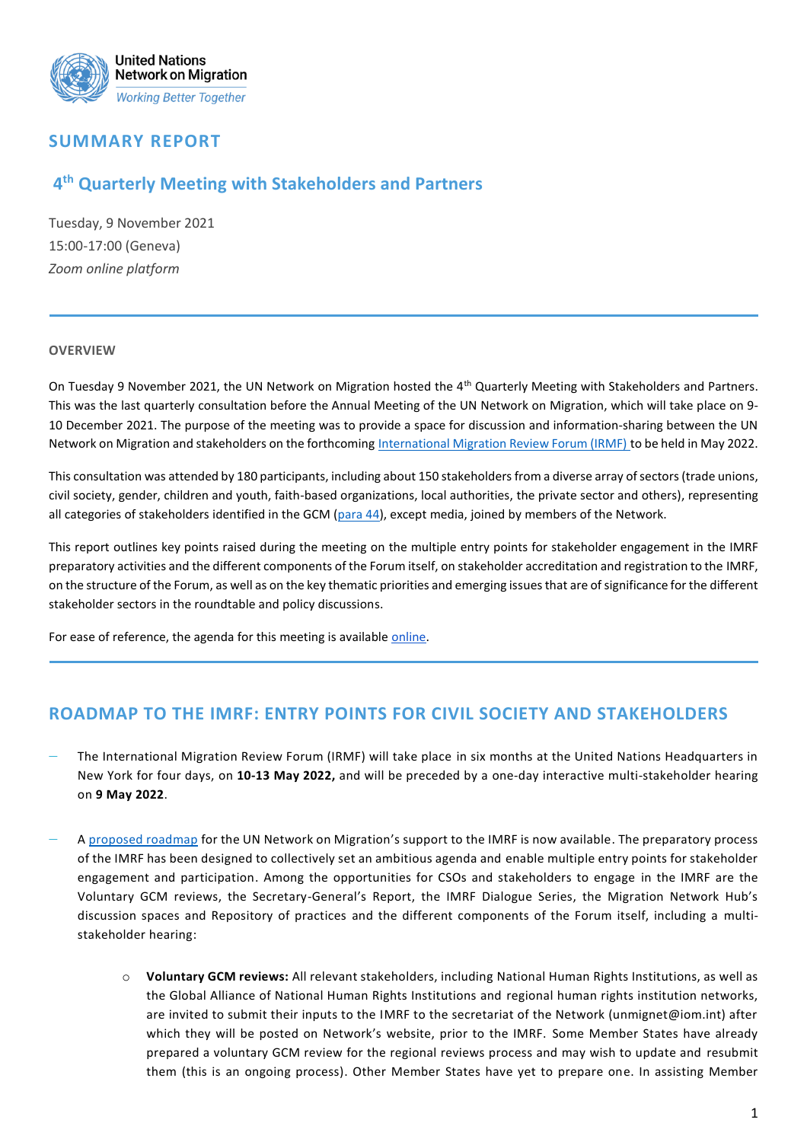

# **SUMMARY REPORT**

# **4 th Quarterly Meeting with Stakeholders and Partners**

Tuesday, 9 November 2021 15:00-17:00 (Geneva) *Zoom online platform*

#### **OVERVIEW**

On Tuesday 9 November 2021, the UN Network on Migration hosted the 4<sup>th</sup> Quarterly Meeting with Stakeholders and Partners. This was the last quarterly consultation before the Annual Meeting of the UN Network on Migration, which will take place on 9- 10 December 2021. The purpose of the meeting was to provide a space for discussion and information-sharing between the UN Network on Migration and stakeholders on the forthcoming [International Migration Review Forum \(IRMF\)](https://migrationnetwork.un.org/international-migration-review-forum-2022) to be held in May 2022.

This consultation was attended by 180 participants, including about 150 stakeholders from a diverse array of sectors (trade unions, civil society, gender, children and youth, faith-based organizations, local authorities, the private sector and others), representing all categories of stakeholders identified in the GCM [\(para 44\)](https://migrationnetwork.un.org/civil-society-and-stakeholders), except media, joined by members of the Network.

This report outlines key points raised during the meeting on the multiple entry points for stakeholder engagement in the IMRF preparatory activities and the different components of the Forum itself, on stakeholder accreditation and registration to the IMRF, on the structure of the Forum, as well as on the key thematic priorities and emerging issues that are of significance for the different stakeholder sectors in the roundtable and policy discussions.

For ease of reference, the agenda for this meeting is available [online.](https://migrationnetwork.un.org/sites/default/files/docs/draft_agenda_-_4th_unnm_quarterly_stakeholder_meeting_02.11.2021.pdf)

### **ROADMAP TO THE IMRF: ENTRY POINTS FOR CIVIL SOCIETY AND STAKEHOLDERS**

- − The International Migration Review Forum (IRMF) will take place in six months at the United Nations Headquarters in New York for four days, on **10-13 May 2022,** and will be preceded by a one-day interactive multi-stakeholder hearing on **9 May 2022**.
- − [A proposed roadmap](https://migrationnetwork.un.org/sites/default/files/resources_files/imrf_roadmap_3_pages.pdf) for the UN Network on Migration's support to the IMRF is now available. The preparatory process of the IMRF has been designed to collectively set an ambitious agenda and enable multiple entry points for stakeholder engagement and participation. Among the opportunities for CSOs and stakeholders to engage in the IMRF are the Voluntary GCM reviews, the Secretary-General's Report, the IMRF Dialogue Series, the Migration Network Hub's discussion spaces and Repository of practices and the different components of the Forum itself, including a multistakeholder hearing:
	- o **Voluntary GCM reviews:** All relevant stakeholders, including National Human Rights Institutions, as well as the Global Alliance of National Human Rights Institutions and regional human rights institution networks, are invited to submit their inputs to the IMRF to the secretariat of the Network (unmignet@iom.int) after which they will be posted on Network's website, prior to the IMRF. Some Member States have already prepared a voluntary GCM review for the regional reviews process and may wish to update and resubmit them (this is an ongoing process). Other Member States have yet to prepare one. In assisting Member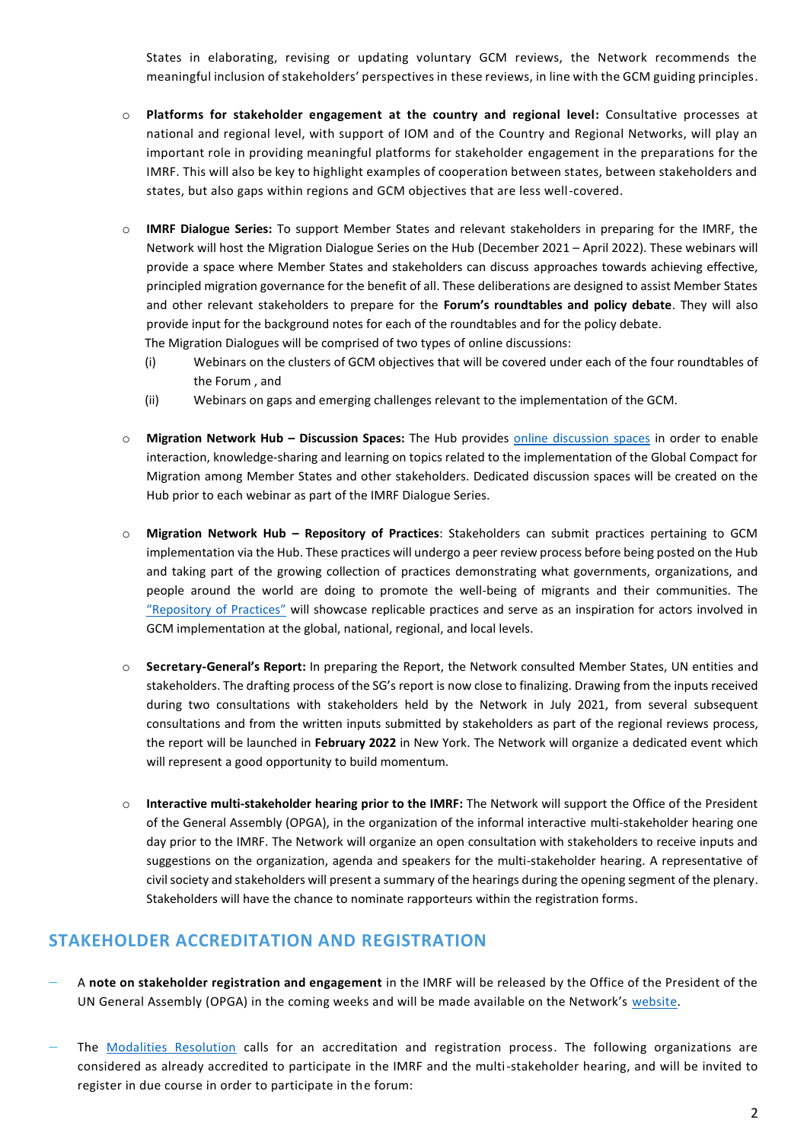States in elaborating, revising or updating voluntary GCM reviews, the Network recommends the meaningful inclusion of stakeholders' perspectives in these reviews, in line with the GCM guiding principles.

- o **Platforms for stakeholder engagement at the country and regional level:** Consultative processes at national and regional level, with support of IOM and of the Country and Regional Networks, will play an important role in providing meaningful platforms for stakeholder engagement in the preparations for the IMRF. This will also be key to highlight examples of cooperation between states, between stakeholders and states, but also gaps within regions and GCM objectives that are less well-covered.
- o **IMRF Dialogue Series:** To support Member States and relevant stakeholders in preparing for the IMRF, the Network will host the Migration Dialogue Series on the Hub (December 2021 – April 2022). These webinars will provide a space where Member States and stakeholders can discuss approaches towards achieving effective, principled migration governance for the benefit of all. These deliberations are designed to assist Member States and other relevant stakeholders to prepare for the **Forum's roundtables and policy debate**. They will also provide input for the background notes for each of the roundtables and for the policy debate. The Migration Dialogues will be comprised of two types of online discussions:
	- (i) Webinars on the clusters of GCM objectives that will be covered under each of the four roundtables of

- (ii) Webinars on gaps and emerging challenges relevant to the implementation of the GCM.
- o **Migration Network Hub – Discussion Spaces:** The Hub provides [online discussion spaces](https://migrationnetwork.un.org/hub/discussion-space) in order to enable interaction, knowledge-sharing and learning on topics related to the implementation of the Global Compact for Migration among Member States and other stakeholders. Dedicated discussion spaces will be created on the Hub prior to each webinar as part of the IMRF Dialogue Series.
- o **Migration Network Hub – Repository of Practices**: Stakeholders can submit practices pertaining to GCM implementation via the Hub. These practices will undergo a peer review process before being posted on the Hub and taking part of the growing collection of practices demonstrating what governments, organizations, and people around the world are doing to promote the well-being of migrants and their communities. The ["Repository of Practices"](https://migrationnetwork.un.org/hub/repository-of-practices/about) will showcase replicable practices and serve as an inspiration for actors involved in GCM implementation at the global, national, regional, and local levels.
- o **Secretary-General's Report:** In preparing the Report, the Network consulted Member States, UN entities and stakeholders. The drafting process of the SG's report is now close to finalizing. Drawing from the inputs received during two consultations with stakeholders held by the Network in July 2021, from several subsequent consultations and from the written inputs submitted by stakeholders as part of the regional reviews process, the report will be launched in **February 2022** in New York. The Network will organize a dedicated event which will represent a good opportunity to build momentum.
- o **Interactive multi-stakeholder hearing prior to the IMRF:** The Network will support the Office of the President of the General Assembly (OPGA), in the organization of the informal interactive multi-stakeholder hearing one day prior to the IMRF. The Network will organize an open consultation with stakeholders to receive inputs and suggestions on the organization, agenda and speakers for the multi-stakeholder hearing. A representative of civil society and stakeholders will present a summary of the hearings during the opening segment of the plenary. Stakeholders will have the chance to nominate rapporteurs within the registration forms.

### **STAKEHOLDER ACCREDITATION AND REGISTRATION**

- − A **note on stakeholder registration and engagement** in the IMRF will be released by the Office of the President of the UN General Assembly (OPGA) in the coming weeks and will be made available on the Network's [website.](https://migrationnetwork.un.org/international-migration-review-forum-2022)
- The [Modalities Resolution](https://migrationnetwork.un.org/global-compact-migration-follow-and-review) calls for an accreditation and registration process. The following organizations are considered as already accredited to participate in the IMRF and the multi-stakeholder hearing, and will be invited to register in due course in order to participate in the forum:

the Forum , and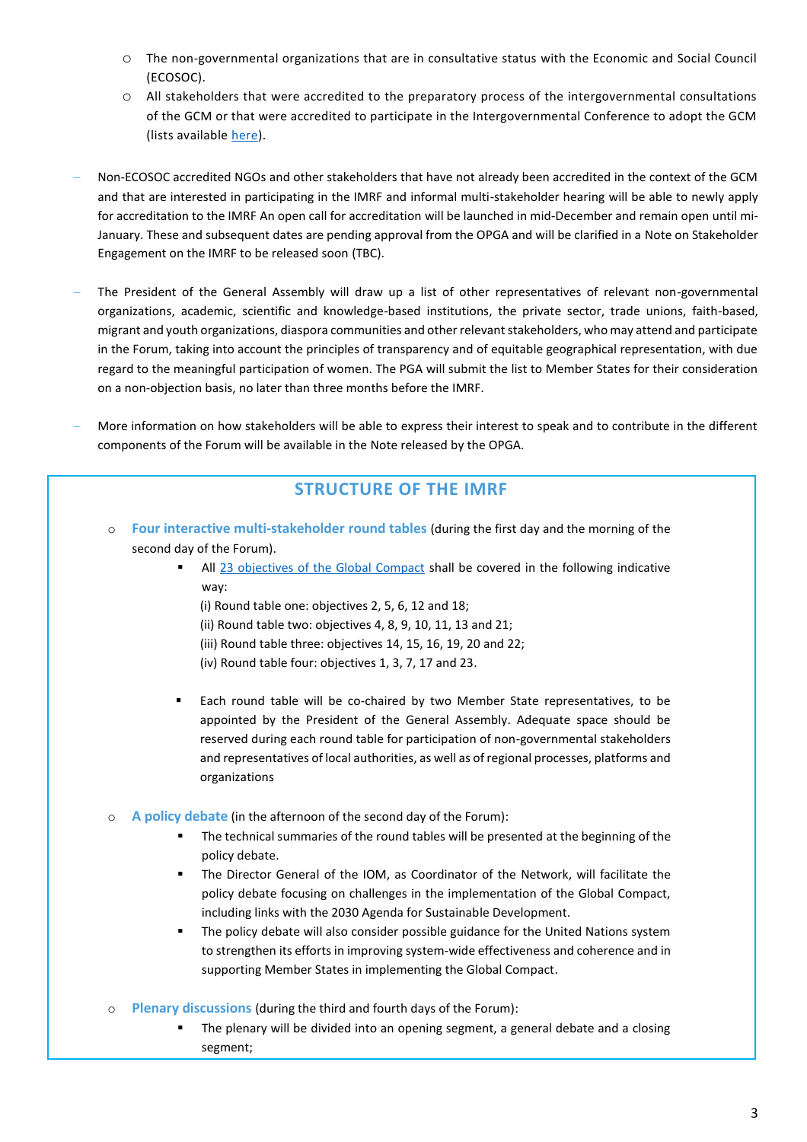- o The non-governmental organizations that are in consultative status with the Economic and Social Council (ECOSOC).
- o All stakeholders that were accredited to the preparatory process of the intergovernmental consultations of the GCM or that were accredited to participate in the Intergovernmental Conference to adopt the GCM (lists availabl[e here\)](https://migrationnetwork.un.org/international-migration-review-forum-2022).
- − Non-ECOSOC accredited NGOs and other stakeholders that have not already been accredited in the context of the GCM and that are interested in participating in the IMRF and informal multi-stakeholder hearing will be able to newly apply for accreditation to the IMRF An open call for accreditation will be launched in mid-December and remain open until mi-January. These and subsequent dates are pending approval from the OPGA and will be clarified in a Note on Stakeholder Engagement on the IMRF to be released soon (TBC).
- The President of the General Assembly will draw up a list of other representatives of relevant non-governmental organizations, academic, scientific and knowledge-based institutions, the private sector, trade unions, faith-based, migrant and youth organizations, diaspora communities and other relevant stakeholders, who may attend and participate in the Forum, taking into account the principles of transparency and of equitable geographical representation, with due regard to the meaningful participation of women. The PGA will submit the list to Member States for their consideration on a non-objection basis, no later than three months before the IMRF.
- − More information on how stakeholders will be able to express their interest to speak and to contribute in the different components of the Forum will be available in the Note released by the OPGA.

### **STRUCTURE OF THE IMRF**

- o **Four interactive multi-stakeholder round tables** (during the first day and the morning of the second day of the Forum).
	- All [23 objectives of the Global Compact](https://www.migrationdataportal.org/fr/global-compact-for-migration) shall be covered in the following indicative way:
		- (i) Round table one: objectives 2, 5, 6, 12 and 18;
		- (ii) Round table two: objectives 4, 8, 9, 10, 11, 13 and 21;
		- (iii) Round table three: objectives 14, 15, 16, 19, 20 and 22;
		- (iv) Round table four: objectives 1, 3, 7, 17 and 23.
	- Each round table will be co-chaired by two Member State representatives, to be appointed by the President of the General Assembly. Adequate space should be reserved during each round table for participation of non-governmental stakeholders and representatives of local authorities, as well as of regional processes, platforms and organizations
- o **A policy debate** (in the afternoon of the second day of the Forum):
	- The technical summaries of the round tables will be presented at the beginning of the policy debate.
	- The Director General of the IOM, as Coordinator of the Network, will facilitate the policy debate focusing on challenges in the implementation of the Global Compact, including links with the 2030 Agenda for Sustainable Development.
	- The policy debate will also consider possible guidance for the United Nations system to strengthen its efforts in improving system-wide effectiveness and coherence and in supporting Member States in implementing the Global Compact.
- **Plenary discussions** (during the third and fourth days of the Forum):
	- The plenary will be divided into an opening segment, a general debate and a closing segment;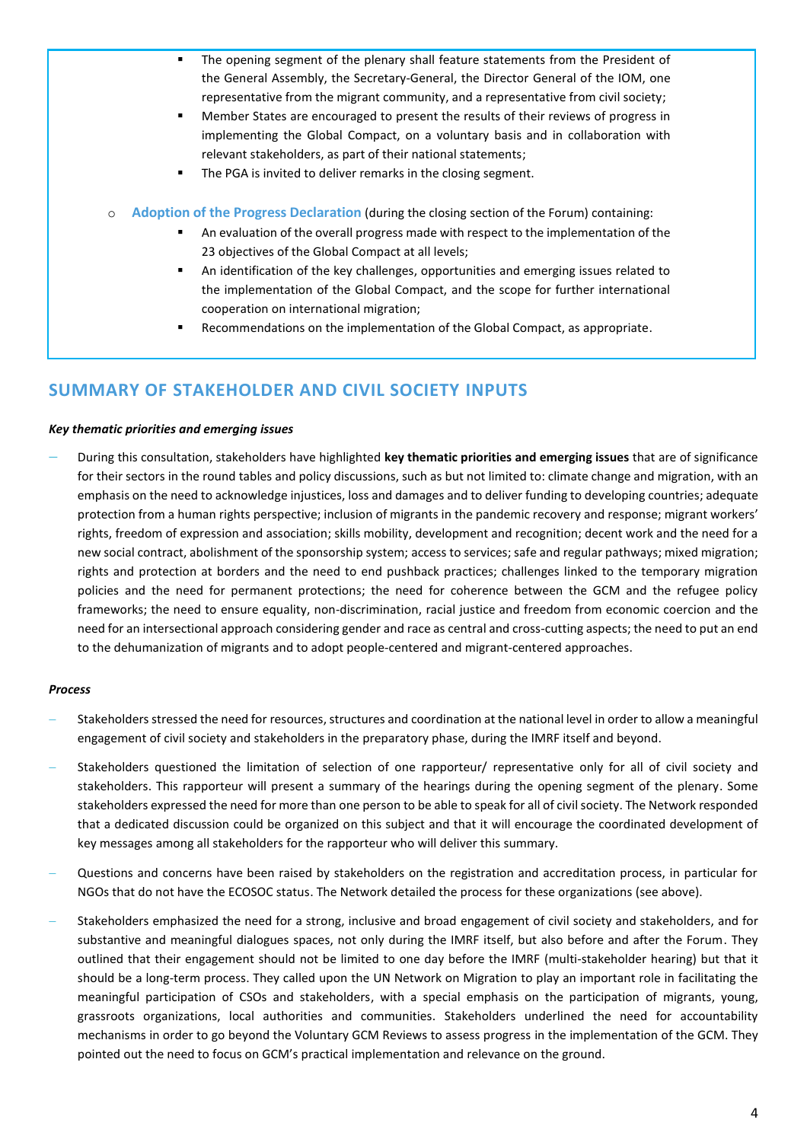|                                                                                                       | The opening segment of the plenary shall feature statements from the President of    |
|-------------------------------------------------------------------------------------------------------|--------------------------------------------------------------------------------------|
|                                                                                                       | the General Assembly, the Secretary-General, the Director General of the IOM, one    |
|                                                                                                       | representative from the migrant community, and a representative from civil society;  |
|                                                                                                       | Member States are encouraged to present the results of their reviews of progress in  |
|                                                                                                       | implementing the Global Compact, on a voluntary basis and in collaboration with      |
|                                                                                                       | relevant stakeholders, as part of their national statements;                         |
|                                                                                                       | The PGA is invited to deliver remarks in the closing segment.                        |
| Adoption of the Progress Declaration (during the closing section of the Forum) containing:<br>$\circ$ |                                                                                      |
| ٠                                                                                                     | An evaluation of the overall progress made with respect to the implementation of the |
|                                                                                                       | 23 objectives of the Global Compact at all levels;                                   |

- An identification of the key challenges, opportunities and emerging issues related to the implementation of the Global Compact, and the scope for further international cooperation on international migration;
- Recommendations on the implementation of the Global Compact, as appropriate.

# **SUMMARY OF STAKEHOLDER AND CIVIL SOCIETY INPUTS**

#### *Key thematic priorities and emerging issues*

− During this consultation, stakeholders have highlighted **key thematic priorities and emerging issues** that are of significance for their sectors in the round tables and policy discussions, such as but not limited to: climate change and migration, with an emphasis on the need to acknowledge injustices, loss and damages and to deliver funding to developing countries; adequate protection from a human rights perspective; inclusion of migrants in the pandemic recovery and response; migrant workers' rights, freedom of expression and association; skills mobility, development and recognition; decent work and the need for a new social contract, abolishment of the sponsorship system; access to services; safe and regular pathways; mixed migration; rights and protection at borders and the need to end pushback practices; challenges linked to the temporary migration policies and the need for permanent protections; the need for coherence between the GCM and the refugee policy frameworks; the need to ensure equality, non-discrimination, racial justice and freedom from economic coercion and the need for an intersectional approach considering gender and race as central and cross-cutting aspects; the need to put an end to the dehumanization of migrants and to adopt people-centered and migrant-centered approaches.

#### *Process*

- − Stakeholders stressed the need for resources, structures and coordination at the national level in order to allow a meaningful engagement of civil society and stakeholders in the preparatory phase, during the IMRF itself and beyond.
- Stakeholders questioned the limitation of selection of one rapporteur/ representative only for all of civil society and stakeholders. This rapporteur will present a summary of the hearings during the opening segment of the plenary. Some stakeholders expressed the need for more than one person to be able to speak for all of civil society. The Network responded that a dedicated discussion could be organized on this subject and that it will encourage the coordinated development of key messages among all stakeholders for the rapporteur who will deliver this summary.
- Questions and concerns have been raised by stakeholders on the registration and accreditation process, in particular for NGOs that do not have the ECOSOC status. The Network detailed the process for these organizations (see above).
- − Stakeholders emphasized the need for a strong, inclusive and broad engagement of civil society and stakeholders, and for substantive and meaningful dialogues spaces, not only during the IMRF itself, but also before and after the Forum. They outlined that their engagement should not be limited to one day before the IMRF (multi-stakeholder hearing) but that it should be a long-term process. They called upon the UN Network on Migration to play an important role in facilitating the meaningful participation of CSOs and stakeholders, with a special emphasis on the participation of migrants, young, grassroots organizations, local authorities and communities. Stakeholders underlined the need for accountability mechanisms in order to go beyond the Voluntary GCM Reviews to assess progress in the implementation of the GCM. They pointed out the need to focus on GCM's practical implementation and relevance on the ground.